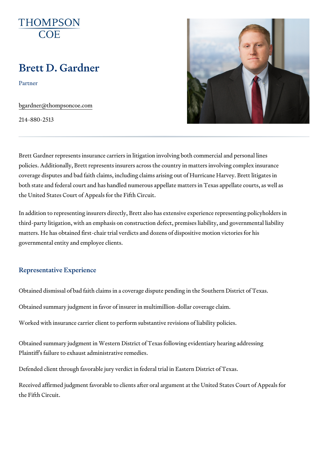# Brett D. Gardner

Partner

[bgardner@thompso](mailto:bgardner@thompsoncoe.com)ncoe.com

214-880-2513

Brett Gardner represents insurance carriers in litigation involving both cor policies. Additionally, Brett represents insurers across the country in matt coverage disputes and bad faith claims, including claims arising out of Hu both state and federal court and has handled numerous appellate matters i the United States Court of Appeals for the Fifth Circuit.

In addition to representing insurers directly, Brett also has extensive expe third-party litigation, with an emphasis on construction defect, premises li matters. He has obtained first-chair trial verdicts and dozens of dispositiv governmental entity and employee clients.

## Representative Experience

Obtained dismissal of bad faith claims in a coverage dispute pending in th Obtained summary judgment in favor of insurer in multimillion-dollar cover Worked with insurance carrier client to perform substantive revisions of lia

Obtained summary judgment in Western District of Texas following evident Plaintiff's failure to exhaust administrative remedies.

Defended client through favorable jury verdict in federal trial in Eastern D

Received affirmed judgment favorable to clients after oral argument at the the Fifth Circuit.